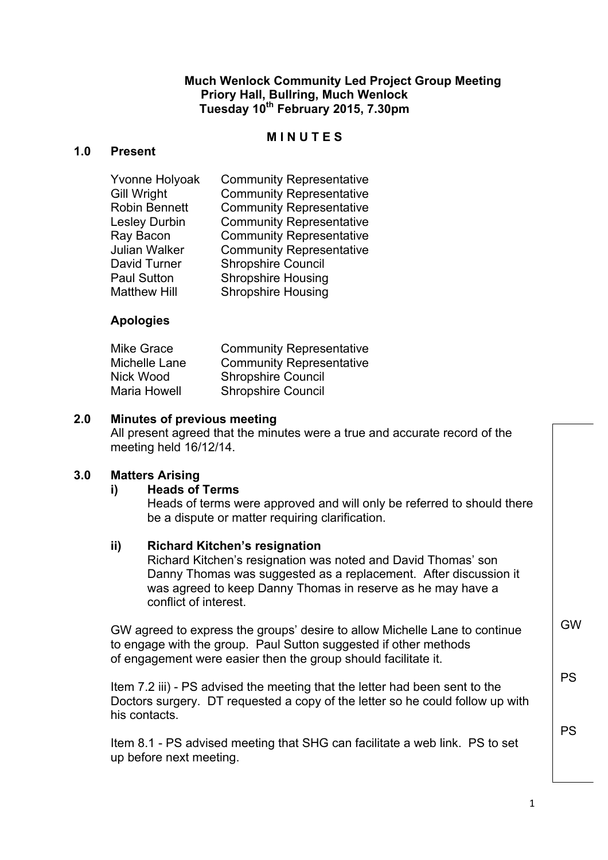#### **Much Wenlock Community Led Project Group Meeting Priory Hall, Bullring, Much Wenlock Tuesday 10th February 2015, 7.30pm**

### **M I N U T E S**

#### **1.0 Present**

| Gill Wright<br><b>Robin Bennett</b><br><b>Community Representative</b><br><b>Lesley Durbin</b><br>Ray Bacon<br>Julian Walker<br>David Turner<br><b>Paul Sutton</b> | <b>Community Representative</b><br><b>Community Representative</b><br><b>Community Representative</b><br><b>Shropshire Council</b><br><b>Shropshire Housing</b> |
|--------------------------------------------------------------------------------------------------------------------------------------------------------------------|-----------------------------------------------------------------------------------------------------------------------------------------------------------------|
| <b>Matthew Hill</b>                                                                                                                                                | <b>Shropshire Housing</b>                                                                                                                                       |
|                                                                                                                                                                    |                                                                                                                                                                 |

## **Apologies**

| Mike Grace          | <b>Community Representative</b> |
|---------------------|---------------------------------|
| Michelle Lane       | <b>Community Representative</b> |
| Nick Wood           | <b>Shropshire Council</b>       |
| <b>Maria Howell</b> | <b>Shropshire Council</b>       |

#### **2.0 Minutes of previous meeting**

All present agreed that the minutes were a true and accurate record of the meeting held 16/12/14.

#### **3.0 Matters Arising**

#### **i) Heads of Terms**

Heads of terms were approved and will only be referred to should there be a dispute or matter requiring clarification.

#### **ii) Richard Kitchen's resignation**

Richard Kitchen's resignation was noted and David Thomas' son Danny Thomas was suggested as a replacement. After discussion it was agreed to keep Danny Thomas in reserve as he may have a conflict of interest.

GW agreed to express the groups' desire to allow Michelle Lane to continue to engage with the group. Paul Sutton suggested if other methods of engagement were easier then the group should facilitate it.

Item 7.2 iii) - PS advised the meeting that the letter had been sent to the Doctors surgery. DT requested a copy of the letter so he could follow up with his contacts.

Item 8.1 - PS advised meeting that SHG can facilitate a web link. PS to set up before next meeting.

GW

PS

PS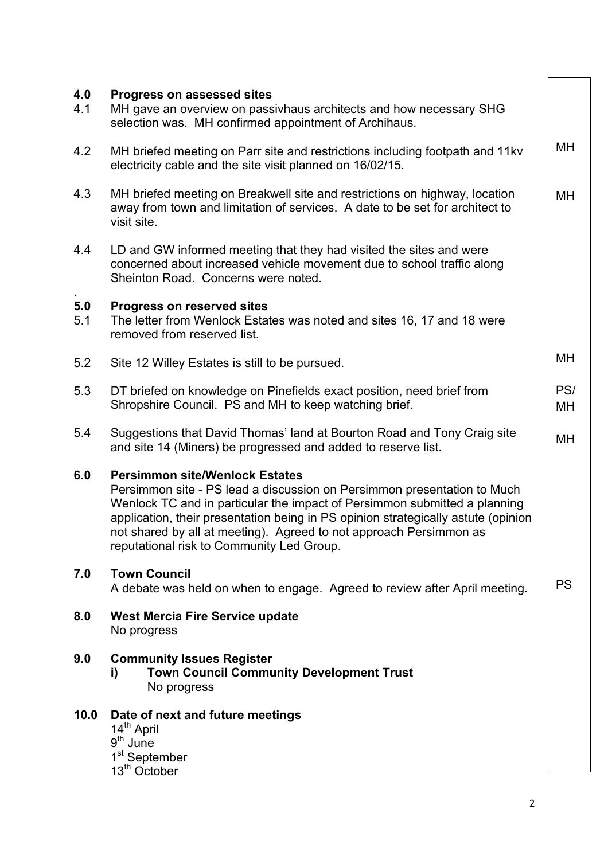| 4.0<br>4.1 | <b>Progress on assessed sites</b><br>MH gave an overview on passivhaus architects and how necessary SHG<br>selection was. MH confirmed appointment of Archihaus.                                                                                                                                                                                                                                      |           |
|------------|-------------------------------------------------------------------------------------------------------------------------------------------------------------------------------------------------------------------------------------------------------------------------------------------------------------------------------------------------------------------------------------------------------|-----------|
| 4.2        | MH briefed meeting on Parr site and restrictions including footpath and 11kv<br>electricity cable and the site visit planned on 16/02/15.                                                                                                                                                                                                                                                             | MH        |
| 4.3        | MH briefed meeting on Breakwell site and restrictions on highway, location<br>away from town and limitation of services. A date to be set for architect to<br>visit site.                                                                                                                                                                                                                             | MH        |
| 4.4        | LD and GW informed meeting that they had visited the sites and were<br>concerned about increased vehicle movement due to school traffic along<br>Sheinton Road. Concerns were noted.                                                                                                                                                                                                                  |           |
| 5.0<br>5.1 | <b>Progress on reserved sites</b><br>The letter from Wenlock Estates was noted and sites 16, 17 and 18 were<br>removed from reserved list.                                                                                                                                                                                                                                                            |           |
| 5.2        | Site 12 Willey Estates is still to be pursued.                                                                                                                                                                                                                                                                                                                                                        | MН        |
| 5.3        | DT briefed on knowledge on Pinefields exact position, need brief from<br>Shropshire Council. PS and MH to keep watching brief.                                                                                                                                                                                                                                                                        | PS/<br>MH |
| 5.4        | Suggestions that David Thomas' land at Bourton Road and Tony Craig site<br>and site 14 (Miners) be progressed and added to reserve list.                                                                                                                                                                                                                                                              | <b>MH</b> |
| 6.0        | <b>Persimmon site/Wenlock Estates</b><br>Persimmon site - PS lead a discussion on Persimmon presentation to Much<br>Wenlock TC and in particular the impact of Persimmon submitted a planning<br>application, their presentation being in PS opinion strategically astute (opinion<br>not shared by all at meeting). Agreed to not approach Persimmon as<br>reputational risk to Community Led Group. |           |
| 7.0        | <b>Town Council</b><br>A debate was held on when to engage. Agreed to review after April meeting.                                                                                                                                                                                                                                                                                                     | <b>PS</b> |
| 8.0        | <b>West Mercia Fire Service update</b><br>No progress                                                                                                                                                                                                                                                                                                                                                 |           |
| 9.0        | <b>Community Issues Register</b><br><b>Town Council Community Development Trust</b><br>i)<br>No progress                                                                                                                                                                                                                                                                                              |           |
| 10.0       | Date of next and future meetings<br>14 <sup>th</sup> April<br>$9th$ June<br>1 <sup>st</sup> September<br>13 <sup>th</sup> October                                                                                                                                                                                                                                                                     |           |
|            | $\overline{2}$                                                                                                                                                                                                                                                                                                                                                                                        |           |